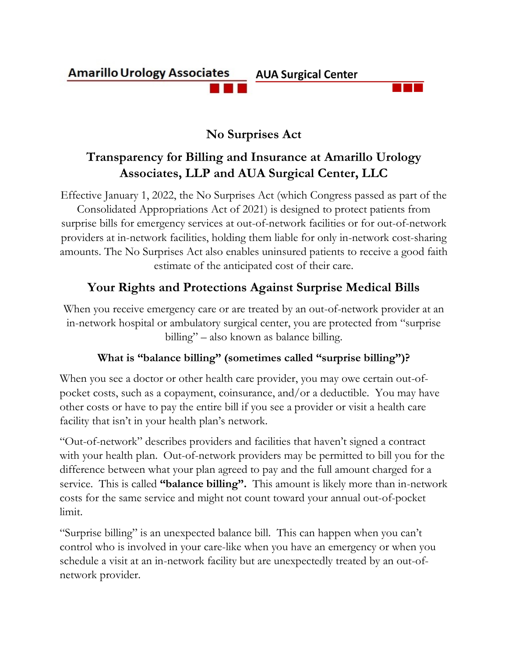# **Amarillo Urology Associates AUA Surgical Center**

# **No Surprises Act**

# **Transparency for Billing and Insurance at Amarillo Urology Associates, LLP and AUA Surgical Center, LLC**

Effective January 1, 2022, the No Surprises Act (which Congress passed as part of the Consolidated Appropriations Act of 2021) is designed to protect patients from surprise bills for emergency services at out-of-network facilities or for out-of-network providers at in-network facilities, holding them liable for only in-network cost-sharing amounts. The No Surprises Act also enables uninsured patients to receive a good faith estimate of the anticipated cost of their care.

# **Your Rights and Protections Against Surprise Medical Bills**

When you receive emergency care or are treated by an out-of-network provider at an in-network hospital or ambulatory surgical center, you are protected from "surprise billing" – also known as balance billing.

### **What is "balance billing" (sometimes called "surprise billing")?**

When you see a doctor or other health care provider, you may owe certain out-ofpocket costs, such as a copayment, coinsurance, and/or a deductible. You may have other costs or have to pay the entire bill if you see a provider or visit a health care facility that isn't in your health plan's network.

"Out-of-network" describes providers and facilities that haven't signed a contract with your health plan. Out-of-network providers may be permitted to bill you for the difference between what your plan agreed to pay and the full amount charged for a service. This is called **"balance billing".** This amount is likely more than in-network costs for the same service and might not count toward your annual out-of-pocket limit.

"Surprise billing" is an unexpected balance bill. This can happen when you can't control who is involved in your care-like when you have an emergency or when you schedule a visit at an in-network facility but are unexpectedly treated by an out-ofnetwork provider.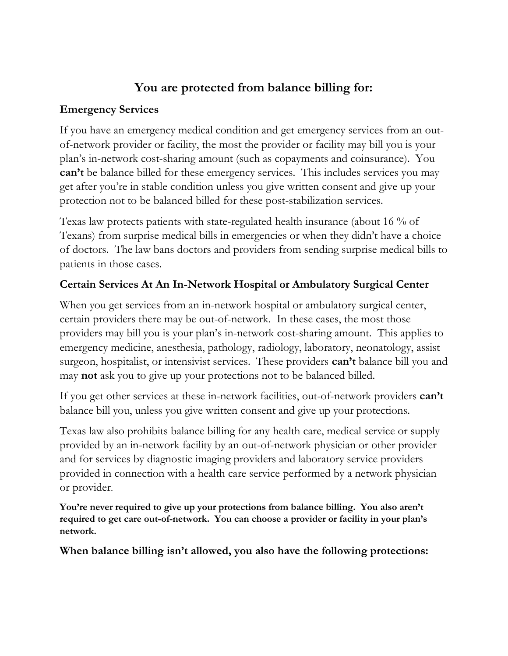# **You are protected from balance billing for:**

#### **Emergency Services**

If you have an emergency medical condition and get emergency services from an outof-network provider or facility, the most the provider or facility may bill you is your plan's in-network cost-sharing amount (such as copayments and coinsurance). You **can't** be balance billed for these emergency services. This includes services you may get after you're in stable condition unless you give written consent and give up your protection not to be balanced billed for these post-stabilization services.

Texas law protects patients with state-regulated health insurance (about 16 % of Texans) from surprise medical bills in emergencies or when they didn't have a choice of doctors. The law bans doctors and providers from sending surprise medical bills to patients in those cases.

### **Certain Services At An In-Network Hospital or Ambulatory Surgical Center**

When you get services from an in-network hospital or ambulatory surgical center, certain providers there may be out-of-network. In these cases, the most those providers may bill you is your plan's in-network cost-sharing amount. This applies to emergency medicine, anesthesia, pathology, radiology, laboratory, neonatology, assist surgeon, hospitalist, or intensivist services. These providers **can't** balance bill you and may **not** ask you to give up your protections not to be balanced billed.

If you get other services at these in-network facilities, out-of-network providers **can't**  balance bill you, unless you give written consent and give up your protections.

Texas law also prohibits balance billing for any health care, medical service or supply provided by an in-network facility by an out-of-network physician or other provider and for services by diagnostic imaging providers and laboratory service providers provided in connection with a health care service performed by a network physician or provider.

**You're never required to give up your protections from balance billing. You also aren't required to get care out-of-network. You can choose a provider or facility in your plan's network.**

**When balance billing isn't allowed, you also have the following protections:**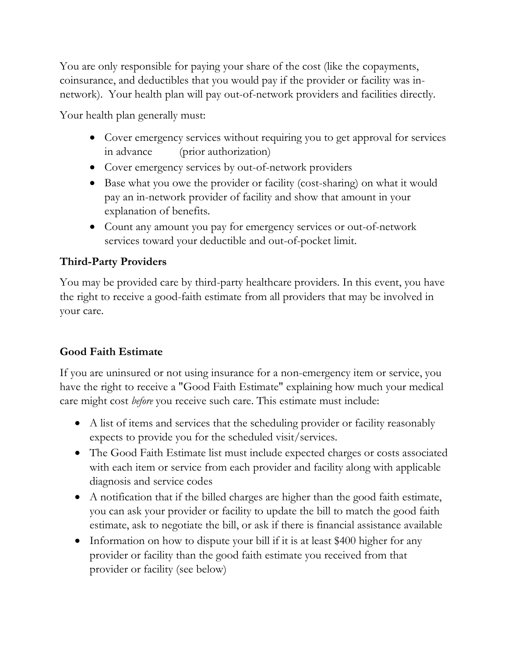You are only responsible for paying your share of the cost (like the copayments, coinsurance, and deductibles that you would pay if the provider or facility was innetwork). Your health plan will pay out-of-network providers and facilities directly.

Your health plan generally must:

- Cover emergency services without requiring you to get approval for services in advance (prior authorization)
- Cover emergency services by out-of-network providers
- Base what you owe the provider or facility (cost-sharing) on what it would pay an in-network provider of facility and show that amount in your explanation of benefits.
- Count any amount you pay for emergency services or out-of-network services toward your deductible and out-of-pocket limit.

### **Third-Party Providers**

You may be provided care by third-party healthcare providers. In this event, you have the right to receive a good-faith estimate from all providers that may be involved in your care.

# **Good Faith Estimate**

If you are uninsured or not using insurance for a non-emergency item or service, you have the right to receive a "Good Faith Estimate" explaining how much your medical care might cost *before* you receive such care. This estimate must include:

- A list of items and services that the scheduling provider or facility reasonably expects to provide you for the scheduled visit/services.
- The Good Faith Estimate list must include expected charges or costs associated with each item or service from each provider and facility along with applicable diagnosis and service codes
- A notification that if the billed charges are higher than the good faith estimate, you can ask your provider or facility to update the bill to match the good faith estimate, ask to negotiate the bill, or ask if there is financial assistance available
- Information on how to dispute your bill if it is at least \$400 higher for any provider or facility than the good faith estimate you received from that provider or facility (see below)